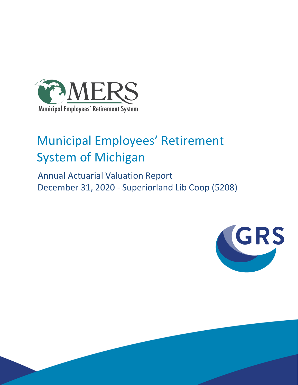

# Municipal Employees' Retirement System of Michigan

 Annual Actuarial Valuation Report December 31, 2020 - Superiorland Lib Coop (5208)

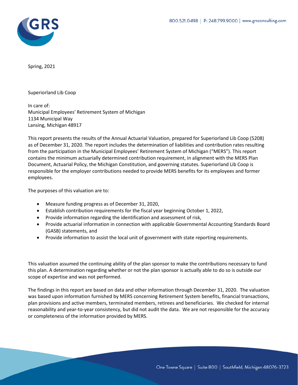

Spring, 2021

Superiorland Lib Coop

In care of: Municipal Employees' Retirement System of Michigan 1134 Municipal Way Lansing, Michigan 48917

This report presents the results of the Annual Actuarial Valuation, prepared for Superiorland Lib Coop (5208) as of December 31, 2020. The report includes the determination of liabilities and contribution rates resulting from the participation in the Municipal Employees' Retirement System of Michigan ("MERS"). This report contains the minimum actuarially determined contribution requirement, in alignment with the MERS Plan Document, Actuarial Policy, the Michigan Constitution, and governing statutes. Superiorland Lib Coop is responsible for the employer contributions needed to provide MERS benefits for its employees and former employees.

The purposes of this valuation are to:

- Measure funding progress as of December 31, 2020,
- Establish contribution requirements for the fiscal year beginning October 1, 2022,
- Provide information regarding the identification and assessment of risk,
- Provide actuarial information in connection with applicable Governmental Accounting Standards Board (GASB) statements, and
- Provide information to assist the local unit of government with state reporting requirements.

This valuation assumed the continuing ability of the plan sponsor to make the contributions necessary to fund this plan. A determination regarding whether or not the plan sponsor is actually able to do so is outside our scope of expertise and was not performed.

The findings in this report are based on data and other information through December 31, 2020. The valuation was based upon information furnished by MERS concerning Retirement System benefits, financial transactions, plan provisions and active members, terminated members, retirees and beneficiaries. We checked for internal reasonability and year-to-year consistency, but did not audit the data. We are not responsible for the accuracy or completeness of the information provided by MERS.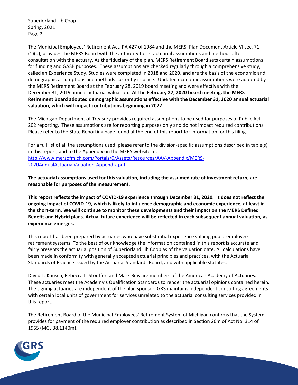Superiorland Lib Coop Spring, 2021 Page 2

The Municipal Employees' Retirement Act, PA 427 of 1984 and the MERS' Plan Document Article VI sec. 71 (1)(d), provides the MERS Board with the authority to set actuarial assumptions and methods after consultation with the actuary. As the fiduciary of the plan, MERS Retirement Board sets certain assumptions for funding and GASB purposes. These assumptions are checked regularly through a comprehensive study, called an Experience Study. Studies were completed in 2018 and 2020, and are the basis of the economic and demographic assumptions and methods currently in place. Updated economic assumptions were adopted by the MERS Retirement Board at the February 28, 2019 board meeting and were effective with the December 31, 2019 annual actuarial valuation. **At the February 27, 2020 board meeting, the MERS Retirement Board adopted demographic assumptions effective with the December 31, 2020 annual actuarial valuation, which will impact contributions beginning in 2022.**

The Michigan Department of Treasury provides required assumptions to be used for purposes of Public Act 202 reporting. These assumptions are for reporting purposes only and do not impact required contributions. Please refer to the State Reporting page found at the end of this report for information for this filing.

For a full list of all the assumptions used, please refer to the division-specific assumptions described in table(s) in this report, and to the Appendix on the MERS website at: [http://www.mersofmich.com/Portals/0/Assets/Resources/AAV-Appendix/MERS-](http://www.mersofmich.com/Portals/0/Assets/Resources/AAV-Appendix/MERS-2020AnnualActuarialValuation-Appendix.pdf)[2020AnnualActuarialValuation-Appendix.pdf](http://www.mersofmich.com/Portals/0/Assets/Resources/AAV-Appendix/MERS-2020AnnualActuarialValuation-Appendix.pdf)

**The actuarial assumptions used for this valuation, including the assumed rate of investment return, are reasonable for purposes of the measurement.**

**This report reflects the impact of COVID-19 experience through December 31, 2020. It does not reflect the ongoing impact of COVID-19, which is likely to influence demographic and economic experience, at least in the short-term. We will continue to monitor these developments and their impact on the MERS Defined Benefit and Hybrid plans. Actual future experience will be reflected in each subsequent annual valuation, as experience emerges.**

This report has been prepared by actuaries who have substantial experience valuing public employee retirement systems. To the best of our knowledge the information contained in this report is accurate and fairly presents the actuarial position of Superiorland Lib Coop as of the valuation date. All calculations have been made in conformity with generally accepted actuarial principles and practices, with the Actuarial Standards of Practice issued by the Actuarial Standards Board, and with applicable statutes.

David T. Kausch, Rebecca L. Stouffer, and Mark Buis are members of the American Academy of Actuaries. These actuaries meet the Academy's Qualification Standards to render the actuarial opinions contained herein. The signing actuaries are independent of the plan sponsor. GRS maintains independent consulting agreements with certain local units of government for services unrelated to the actuarial consulting services provided in this report.

The Retirement Board of the Municipal Employees' Retirement System of Michigan confirms that the System provides for payment of the required employer contribution as described in Section 20m of Act No. 314 of 1965 (MCL 38.1140m).

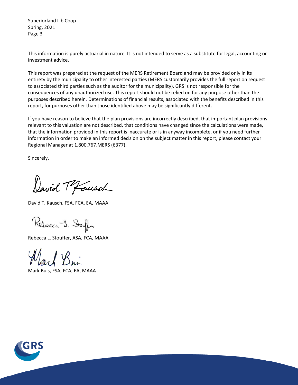Superiorland Lib Coop Spring, 2021 Page 3

This information is purely actuarial in nature. It is not intended to serve as a substitute for legal, accounting or investment advice.

This report was prepared at the request of the MERS Retirement Board and may be provided only in its entirety by the municipality to other interested parties (MERS customarily provides the full report on request to associated third parties such as the auditor for the municipality). GRS is not responsible for the consequences of any unauthorized use. This report should not be relied on for any purpose other than the purposes described herein. Determinations of financial results, associated with the benefits described in this report, for purposes other than those identified above may be significantly different.

If you have reason to believe that the plan provisions are incorrectly described, that important plan provisions relevant to this valuation are not described, that conditions have changed since the calculations were made, that the information provided in this report is inaccurate or is in anyway incomplete, or if you need further information in order to make an informed decision on the subject matter in this report, please contact your Regional Manager at 1.800.767.MERS (6377).

Sincerely,

David T Fausch

David T. Kausch, FSA, FCA, EA, MAAA

Rebecca J. Stough

Rebecca L. Stouffer, ASA, FCA, MAAA

Mark Buis, FSA, FCA, EA, MAAA

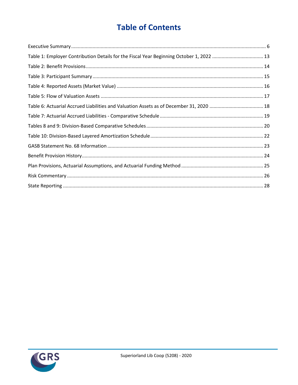# **Table of Contents**

| Table 1: Employer Contribution Details for the Fiscal Year Beginning October 1, 2022 13 |  |
|-----------------------------------------------------------------------------------------|--|
|                                                                                         |  |
|                                                                                         |  |
|                                                                                         |  |
|                                                                                         |  |
|                                                                                         |  |
|                                                                                         |  |
|                                                                                         |  |
|                                                                                         |  |
|                                                                                         |  |
|                                                                                         |  |
|                                                                                         |  |
|                                                                                         |  |
|                                                                                         |  |

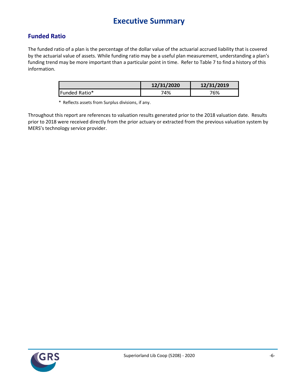# **Executive Summary**

### **Funded Ratio**

The funded ratio of a plan is the percentage of the dollar value of the actuarial accrued liability that is covered by the actuarial value of assets. While funding ratio may be a useful plan measurement, understanding a plan's funding trend may be more important than a particular point in time. Refer to Table 7 to find a history of this information.

|               | 12/31/2020 | 12/31/2019 |
|---------------|------------|------------|
| Funded Ratio* | 74%        | 76%        |

\* Reflects assets from Surplus divisions, if any.

Throughout this report are references to valuation results generated prior to the 2018 valuation date. Results prior to 2018 were received directly from the prior actuary or extracted from the previous valuation system by MERS's technology service provider.

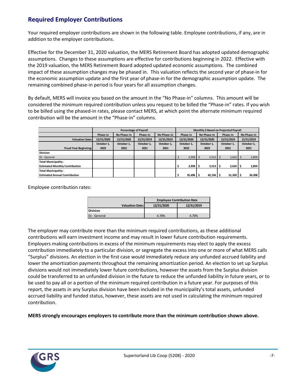### **Required Employer Contributions**

Your required employer contributions are shown in the following table. Employee contributions, if any, are in addition to the employer contributions.

Effective for the December 31, 2020 valuation, the MERS Retirement Board has adopted updated demographic assumptions. Changes to these assumptions are effective for contributions beginning in 2022. Effective with the 2019 valuation, the MERS Retirement Board adopted updated economic assumptions. The combined impact of these assumption changes may be phased in. This valuation reflects the second year of phase-in for the economic assumption update and the first year of phase-in for the demographic assumption update. The remaining combined phase-in period is four years for all assumption changes.

By default, MERS will invoice you based on the amount in the "No Phase-in" columns. This amount will be considered the minimum required contribution unless you request to be billed the "Phase-in" rates. If you wish to be billed using the phased-in rates, please contact MERS, at which point the alternate minimum required contribution will be the amount in the "Phase-in" columns.

|                                       |            | <b>Percentage of Payroll</b> | Monthly \$ Based on Projected Payroll |             |                          |                          |             |                       |  |               |  |             |  |  |  |  |  |  |  |            |  |            |  |  |  |  |  |  |  |  |  |  |  |  |  |  |  |  |  |      |  |      |  |      |
|---------------------------------------|------------|------------------------------|---------------------------------------|-------------|--------------------------|--------------------------|-------------|-----------------------|--|---------------|--|-------------|--|--|--|--|--|--|--|------------|--|------------|--|--|--|--|--|--|--|--|--|--|--|--|--|--|--|--|--|------|--|------|--|------|
|                                       | Phase-in   | No Phase-in                  | Phase-in                              | No Phase-in |                          | Phase-in                 | No Phase-in |                       |  | Phase-in      |  | No Phase-in |  |  |  |  |  |  |  |            |  |            |  |  |  |  |  |  |  |  |  |  |  |  |  |  |  |  |  |      |  |      |  |      |
| <b>Valuation Date:</b>                | 12/31/2020 | 12/31/2020                   | 12/31/2019                            | 12/31/2019  | 12/31/2020<br>12/31/2020 |                          |             |                       |  |               |  |             |  |  |  |  |  |  |  | 12/31/2019 |  | 12/31/2019 |  |  |  |  |  |  |  |  |  |  |  |  |  |  |  |  |  |      |  |      |  |      |
|                                       | October 1, | October 1.                   | October 1.                            | October 1.  |                          | October 1.<br>October 1. |             |                       |  | October 1.    |  | October 1,  |  |  |  |  |  |  |  |            |  |            |  |  |  |  |  |  |  |  |  |  |  |  |  |  |  |  |  |      |  |      |  |      |
| <b>Fiscal Year Beginning:</b>         | 2022       | 2022                         | 2021                                  | 2021        | 2022                     |                          |             |                       |  |               |  |             |  |  |  |  |  |  |  |            |  |            |  |  |  |  |  |  |  |  |  |  |  |  |  |  |  |  |  | 2022 |  | 2021 |  | 2021 |
| <b>Division</b>                       |            |                              |                                       |             |                          |                          |             |                       |  |               |  |             |  |  |  |  |  |  |  |            |  |            |  |  |  |  |  |  |  |  |  |  |  |  |  |  |  |  |  |      |  |      |  |      |
| 01 - General                          |            |                              |                                       |             |                          | 2,958                    |             | 3,513                 |  | $2,610$   \$  |  | 2,859       |  |  |  |  |  |  |  |            |  |            |  |  |  |  |  |  |  |  |  |  |  |  |  |  |  |  |  |      |  |      |  |      |
| <b>Total Municipality -</b>           |            |                              |                                       |             |                          |                          |             |                       |  |               |  |             |  |  |  |  |  |  |  |            |  |            |  |  |  |  |  |  |  |  |  |  |  |  |  |  |  |  |  |      |  |      |  |      |
| <b>Estimated Monthly Contribution</b> |            |                              |                                       |             |                          | 2,958                    |             | $3,513$ $\frac{1}{5}$ |  | $2,610$   \$  |  | 2,859       |  |  |  |  |  |  |  |            |  |            |  |  |  |  |  |  |  |  |  |  |  |  |  |  |  |  |  |      |  |      |  |      |
| <b>Total Municipality -</b>           |            |                              |                                       |             |                          |                          |             |                       |  |               |  |             |  |  |  |  |  |  |  |            |  |            |  |  |  |  |  |  |  |  |  |  |  |  |  |  |  |  |  |      |  |      |  |      |
| <b>Estimated Annual Contribution</b>  |            |                              |                                       |             |                          | 35,496                   |             | 42,156                |  | $31,320$   \$ |  | 34,308      |  |  |  |  |  |  |  |            |  |            |  |  |  |  |  |  |  |  |  |  |  |  |  |  |  |  |  |      |  |      |  |      |

Employee contribution rates:

|                        | <b>Employee Contribution Rate</b> |  |  |  |  |  |  |
|------------------------|-----------------------------------|--|--|--|--|--|--|
| <b>Valuation Date:</b> | 12/31/2020<br>12/31/2019          |  |  |  |  |  |  |
| <b>Division</b>        |                                   |  |  |  |  |  |  |
| 01 - General           | 4.70%<br>4.70%                    |  |  |  |  |  |  |

The employer may contribute more than the minimum required contributions, as these additional contributions will earn investment income and may result in lower future contribution requirements. Employers making contributions in excess of the minimum requirements may elect to apply the excess contribution immediately to a particular division, or segregate the excess into one or more of what MERS calls "Surplus" divisions. An election in the first case would immediately reduce any unfunded accrued liability and lower the amortization payments throughout the remaining amortization period. An election to set up Surplus divisions would not immediately lower future contributions, however the assets from the Surplus division could be transferred to an unfunded division in the future to reduce the unfunded liability in future years, or to be used to pay all or a portion of the minimum required contribution in a future year. For purposes of this report, the assets in any Surplus division have been included in the municipality's total assets, unfunded accrued liability and funded status, however, these assets are not used in calculating the minimum required contribution.

**MERS strongly encourages employers to contribute more than the minimum contribution shown above.**

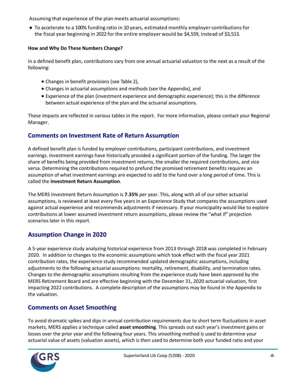Assuming that experience of the plan meets actuarial assumptions:

● To accelerate to a 100% funding ratio in 10 years, estimated monthly employer contributions for the fiscal year beginning in 2022 for the entire employer would be \$4,559, instead of \$3,513.

#### **How and Why Do These Numbers Change?**

In a defined benefit plan, contributions vary from one annual actuarial valuation to the next as a result of the following:

- Changes in benefit provisions (see Table 2),
- Changes in actuarial assumptions and methods (see the Appendix), and
- Experience of the plan (investment experience and demographic experience); this is the difference between actual experience of the plan and the actuarial assumptions.

These impacts are reflected in various tables in the report. For more information, please contact your Regional Manager.

### **Comments on Investment Rate of Return Assumption**

A defined benefit plan is funded by employer contributions, participant contributions, and investment earnings. Investment earnings have historically provided a significant portion of the funding. The larger the share of benefits being provided from investment returns, the smaller the required contributions, and vice versa. Determining the contributions required to prefund the promised retirement benefits requires an assumption of what investment earnings are expected to add to the fund over a long period of time. This is called the **Investment Return Assumption**.

The MERS Investment Return Assumption is **7.35%** per year. This, along with all of our other actuarial assumptions, is reviewed at least every five years in an Experience Study that compares the assumptions used against actual experience and recommends adjustments if necessary. If your municipality would like to explore contributions at lower assumed investment return assumptions, please review the "what if" projection scenarios later in this report.

### **Assumption Change in 2020**

A 5-year experience study analyzing historical experience from 2013 through 2018 was completed in February 2020. In addition to changes to the economic assumptions which took effect with the fiscal year 2021 contribution rates, the experience study recommended updated demographic assumptions, including adjustments to the following actuarial assumptions: mortality, retirement, disability, and termination rates. Changes to the demographic assumptions resulting from the experience study have been approved by the MERS Retirement Board and are effective beginning with the December 31, 2020 actuarial valuation, first impacting 2022 contributions. A complete description of the assumptions may be found in the Appendix to the valuation.

### **Comments on Asset Smoothing**

To avoid dramatic spikes and dips in annual contribution requirements due to short term fluctuations in asset markets, MERS applies a technique called **asset smoothing**. This spreads out each year's investment gains or losses over the prior year and the following four years. This smoothing method is used to determine your actuarial value of assets (valuation assets), which is then used to determine both your funded ratio and your

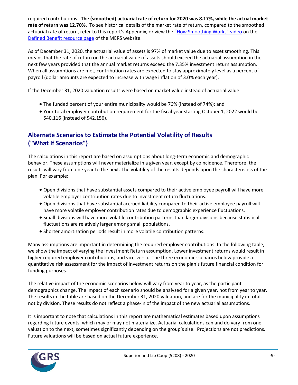required contributions. **The (smoothed) actuarial rate of return for 2020 was 8.17%, while the actual market rate of return was 12.70%.** To see historical details of the market rate of return, compared to the smoothed actuarial rate of return, refer to this report's Appendix, or view the ["How Smoothing Works" vi](https://vimeo.com/mersofmich/review/290989403/5707240419)deo on the [Defined Benefit resource page](http://www.mersofmich.com/Employer/Programs/Defined-Benefit-Plan) of the MERS website.

As of December 31, 2020, the actuarial value of assets is 97% of market value due to asset smoothing. This means that the rate of return on the actuarial value of assets should exceed the actuarial assumption in the next few years provided that the annual market returns exceed the 7.35% investment return assumption. When all assumptions are met, contribution rates are expected to stay approximately level as a percent of payroll (dollar amounts are expected to increase with wage inflation of 3.0% each year).

If the December 31, 2020 valuation results were based on market value instead of actuarial value:

- The funded percent of your entire municipality would be 76% (instead of 74%); and
- Your total employer contribution requirement for the fiscal year starting October 1, 2022 would be \$40,116 (instead of \$42,156).

### **Alternate Scenarios to Estimate the Potential Volatility of Results ("What If Scenarios")**

The calculations in this report are based on assumptions about long-term economic and demographic behavior. These assumptions will never materialize in a given year, except by coincidence. Therefore, the results will vary from one year to the next. The volatility of the results depends upon the characteristics of the plan. For example:

- Open divisions that have substantial assets compared to their active employee payroll will have more volatile employer contribution rates due to investment return fluctuations.
- Open divisions that have substantial accrued liability compared to their active employee payroll will have more volatile employer contribution rates due to demographic experience fluctuations.
- Small divisions will have more volatile contribution patterns than larger divisions because statistical fluctuations are relatively larger among small populations.
- Shorter amortization periods result in more volatile contribution patterns.

Many assumptions are important in determining the required employer contributions. In the following table, we show the impact of varying the Investment Return assumption. Lower investment returns would result in higher required employer contributions, and vice-versa. The three economic scenarios below provide a quantitative risk assessment for the impact of investment returns on the plan's future financial condition for funding purposes.

The relative impact of the economic scenarios below will vary from year to year, as the participant demographics change. The impact of each scenario should be analyzed for a given year, not from year to year. The results in the table are based on the December 31, 2020 valuation, and are for the municipality in total, not by division. These results do not reflect a phase-in of the impact of the new actuarial assumptions.

It is important to note that calculations in this report are mathematical estimates based upon assumptions regarding future events, which may or may not materialize. Actuarial calculations can and do vary from one valuation to the next, sometimes significantly depending on the group's size. Projections are not predictions. Future valuations will be based on actual future experience.

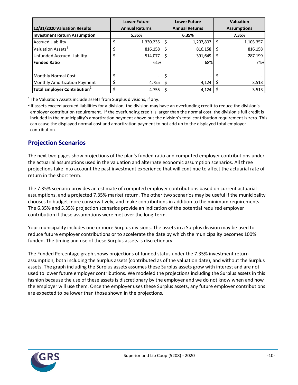|                                                |    | <b>Lower Future</b>                            | <b>Lower Future</b> |           |    | <b>Valuation</b>   |
|------------------------------------------------|----|------------------------------------------------|---------------------|-----------|----|--------------------|
| 12/31/2020 Valuation Results                   |    | <b>Annual Returns</b><br><b>Annual Returns</b> |                     |           |    | <b>Assumptions</b> |
| <b>Investment Return Assumption</b>            |    | 5.35%                                          |                     | 6.35%     |    | 7.35%              |
| <b>Accrued Liability</b>                       | \$ | 1,330,235                                      | Ś                   | 1,207,807 | \$ | 1,103,357          |
| Valuation Assets <sup>1</sup>                  | \$ | 816,158                                        |                     | 816,158   |    | 816,158            |
| Unfunded Accrued Liability                     | \$ | 514,077                                        | Ś                   | 391,649   | \$ | 287,199            |
| <b>Funded Ratio</b>                            |    | 61%                                            |                     | 68%       |    | 74%                |
|                                                |    |                                                |                     |           |    |                    |
| Monthly Normal Cost                            | \$ |                                                | \$                  |           |    |                    |
| <b>Monthly Amortization Payment</b>            | \$ | 4,755                                          |                     | 4,124     |    | 3,513              |
| <b>Total Employer Contribution<sup>2</sup></b> | ċ  | 4,755                                          |                     | 4,124     |    | 3,513              |

 $1$  The Valuation Assets include assets from Surplus divisions, if any.

<sup>2</sup> If assets exceed accrued liabilities for a division, the division may have an overfunding credit to reduce the division's employer contribution requirement. If the overfunding credit is larger than the normal cost, the division's full credit is included in the municipality's amortization payment above but the division's total contribution requirement is zero. This can cause the displayed normal cost and amortization payment to not add up to the displayed total employer contribution.

### **Projection Scenarios**

The next two pages show projections of the plan's funded ratio and computed employer contributions under the actuarial assumptions used in the valuation and alternate economic assumption scenarios. All three projections take into account the past investment experience that will continue to affect the actuarial rate of return in the short term.

The 7.35% scenario provides an estimate of computed employer contributions based on current actuarial assumptions, and a projected 7.35% market return. The other two scenarios may be useful if the municipality chooses to budget more conservatively, and make contributions in addition to the minimum requirements. The 6.35% and 5.35% projection scenarios provide an indication of the potential required employer contribution if these assumptions were met over the long-term.

Your municipality includes one or more Surplus divisions. The assets in a Surplus division may be used to reduce future employer contributions or to accelerate the date by which the municipality becomes 100% funded. The timing and use of these Surplus assets is discretionary.

The Funded Percentage graph shows projections of funded status under the 7.35% investment return assumption, both including the Surplus assets (contributed as of the valuation date), and without the Surplus assets. The graph including the Surplus assets assumes these Surplus assets grow with interest and are not used to lower future employer contributions. We modeled the projections including the Surplus assets in this fashion because the use of these assets is discretionary by the employer and we do not know when and how the employer will use them. Once the employer uses these Surplus assets, any future employer contributions are expected to be lower than those shown in the projections.

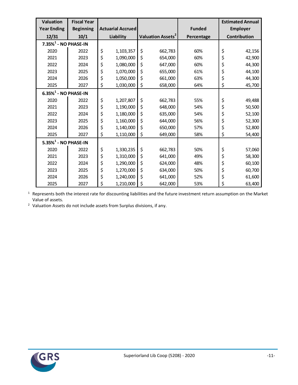| <b>Valuation</b>                    | <b>Fiscal Year</b> |                          |                               |         |               | <b>Estimated Annual</b> |
|-------------------------------------|--------------------|--------------------------|-------------------------------|---------|---------------|-------------------------|
| <b>Year Ending</b>                  | <b>Beginning</b>   | <b>Actuarial Accrued</b> |                               |         | <b>Funded</b> | <b>Employer</b>         |
| 12/31                               | 10/1               | Liability                | Valuation Assets <sup>2</sup> |         | Percentage    | Contribution            |
| $7.35\%$ <sup>1</sup> - NO PHASE-IN |                    |                          |                               |         |               |                         |
| 2020                                | 2022               | \$<br>1,103,357          | \$                            | 662,783 | 60%           | \$<br>42,156            |
| 2021                                | 2023               | \$<br>1,090,000          | \$                            | 654,000 | 60%           | \$<br>42,900            |
| 2022                                | 2024               | \$<br>1,080,000          | \$                            | 647,000 | 60%           | \$<br>44,300            |
| 2023                                | 2025               | \$<br>1,070,000          | \$                            | 655,000 | 61%           | \$<br>44,100            |
| 2024                                | 2026               | \$<br>1,050,000          | \$                            | 661,000 | 63%           | \$<br>44,300            |
| 2025                                | 2027               | \$<br>1,030,000          | \$                            | 658,000 | 64%           | \$<br>45,700            |
| $6.35\%$ <sup>1</sup> - NO PHASE-IN |                    |                          |                               |         |               |                         |
| 2020                                | 2022               | \$<br>1,207,807          | \$                            | 662,783 | 55%           | \$<br>49,488            |
| 2021                                | 2023               | \$<br>1,190,000          | \$                            | 648,000 | 54%           | \$<br>50,500            |
| 2022                                | 2024               | \$<br>1,180,000          | \$                            | 635,000 | 54%           | \$<br>52,100            |
| 2023                                | 2025               | \$<br>1,160,000          | \$                            | 644,000 | 56%           | \$<br>52,300            |
| 2024                                | 2026               | \$<br>1,140,000          | \$                            | 650,000 | 57%           | \$<br>52,800            |
| 2025                                | 2027               | \$<br>1,110,000          | \$                            | 649,000 | 58%           | \$<br>54,400            |
| $5.35\%$ <sup>1</sup> - NO PHASE-IN |                    |                          |                               |         |               |                         |
| 2020                                | 2022               | \$<br>1,330,235          | \$                            | 662,783 | 50%           | \$<br>57,060            |
| 2021                                | 2023               | \$<br>1,310,000          | \$                            | 641,000 | 49%           | \$<br>58,300            |
| 2022                                | 2024               | \$<br>1,290,000          | \$                            | 624,000 | 48%           | \$<br>60,100            |
| 2023                                | 2025               | \$<br>1,270,000          | \$                            | 634,000 | 50%           | \$<br>60,700            |
| 2024                                | 2026               | \$<br>1,240,000          | \$                            | 641,000 | 52%           | \$<br>61,600            |
| 2025                                | 2027               | \$<br>1,210,000          | \$                            | 642,000 | 53%           | \$<br>63,400            |

 Represents both the interest rate for discounting liabilities and the future investment return assumption on the Market Value of assets.

Valuation Assets do not include assets from Surplus divisions, if any.

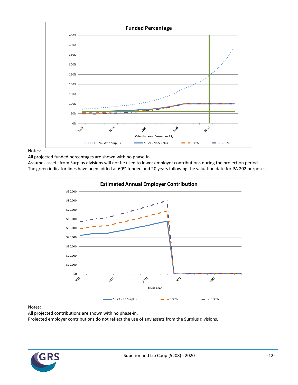

#### Notes:

All projected funded percentages are shown with no phase-in.

Assumes assets from Surplus divisions will not be used to lower employer contributions during the projection period. The green indicator lines have been added at 60% funded and 20 years following the valuation date for PA 202 purposes.



#### Notes:

All projected contributions are shown with no phase-in.

Projected employer contributions do not reflect the use of any assets from the Surplus divisions.

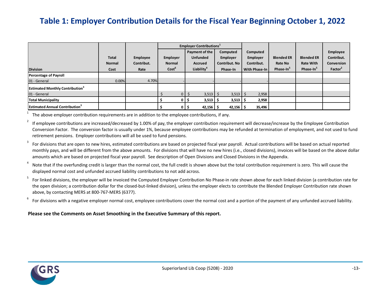# **Table 1: Employer Contribution Details for the Fiscal Year Beginning October 1, 2022**

|                                                    |                               |                               | <b>Employer Contributions</b> <sup>1</sup> |                                                     |                                              |                                    |                              |                                       |                                                    |
|----------------------------------------------------|-------------------------------|-------------------------------|--------------------------------------------|-----------------------------------------------------|----------------------------------------------|------------------------------------|------------------------------|---------------------------------------|----------------------------------------------------|
|                                                    | <b>Total</b><br><b>Normal</b> | <b>Employee</b><br>Contribut. | Employer<br><b>Normal</b>                  | Payment of the<br><b>Unfunded</b><br><b>Accrued</b> | Computed<br>Employer<br><b>Contribut. No</b> | Computed<br>Employer<br>Contribut. | <b>Blended ER</b><br>Rate No | <b>Blended ER</b><br><b>Rate With</b> | <b>Employee</b><br>Contribut.<br><b>Conversion</b> |
| <b>Division</b>                                    | Cost                          | Rate                          | Cost <sup>6</sup>                          | Liability <sup>4</sup>                              | Phase-In                                     | With Phase-In                      | Phase-In <sup>3</sup>        | Phase-In <sup>3</sup>                 | Factor <sup>2</sup>                                |
| <b>Percentage of Payroll</b>                       |                               |                               |                                            |                                                     |                                              |                                    |                              |                                       |                                                    |
| 01 - General                                       | 0.00%                         | 4.70%                         |                                            |                                                     |                                              |                                    |                              |                                       |                                                    |
| <b>Estimated Monthly Contribution</b> <sup>3</sup> |                               |                               |                                            |                                                     |                                              |                                    |                              |                                       |                                                    |
| 01 - General                                       |                               |                               |                                            | $3,513$ \$<br>$0 \mid \xi$                          | $3,513$ \$                                   | 2,958                              |                              |                                       |                                                    |
| <b>Total Municipality</b>                          |                               |                               | 0                                          | 3,513<br>כ ו                                        | $3,513$ $\frac{1}{2}$                        | 2,958                              |                              |                                       |                                                    |
| <b>Estimated Annual Contribution</b> <sup>3</sup>  |                               |                               |                                            | $42,156$   \$<br>0 I S                              | $42,156$   \$                                | 35,496                             |                              |                                       |                                                    |

1 The above employer contribution requirements are in addition to the employee contributions, if any.

2 If employee contributions are increased/decreased by 1.00% of pay, the employer contribution requirement will decrease/increase by the Employee Contribution Conversion Factor. The conversion factor is usually under 1%, because employee contributions may be refunded at termination of employment, and not used to fund retirement pensions. Employer contributions will all be used to fund pensions.

3 For divisions that are open to new hires, estimated contributions are based on projected fiscal year payroll. Actual contributions will be based on actual reported monthly pays, and will be different from the above amounts. For divisions that will have no new hires (i.e., closed divisions), invoices will be based on the above dollar amounts which are based on projected fiscal year payroll. See description of Open Divisions and Closed Divisions in the Appendix.

4 Note that if the overfunding credit is larger than the normal cost, the full credit is shown above but the total contribution requirement is zero. This will cause the displayed normal cost and unfunded accrued liability contributions to not add across.

5 For linked divisions, the employer will be invoiced the Computed Employer Contribution No Phase-in rate shown above for each linked division (a contribution rate for the open division; a contribution dollar for the closed-but-linked division), unless the employer elects to contribute the Blended Employer Contribution rate shown above, by contacting MERS at 800-767-MERS (6377).

6 For divisions with a negative employer normal cost, employee contributions cover the normal cost and a portion of the payment of any unfunded accrued liability.

#### **Please see the Comments on Asset Smoothing in the Executive Summary of this report.**

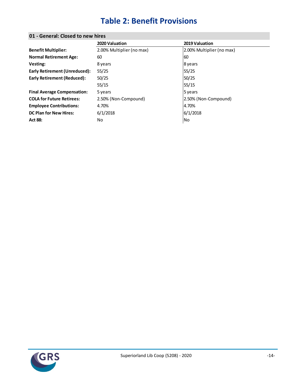# **Table 2: Benefit Provisions**

|                                    | 2020 Valuation            | 2019 Valuation            |
|------------------------------------|---------------------------|---------------------------|
| <b>Benefit Multiplier:</b>         | 2.00% Multiplier (no max) | 2.00% Multiplier (no max) |
| <b>Normal Retirement Age:</b>      | 60                        | 160                       |
| Vesting:                           | 8 years                   | 8 years                   |
| Early Retirement (Unreduced):      | 55/25                     | 55/25                     |
| <b>Early Retirement (Reduced):</b> | 50/25                     | 50/25                     |
|                                    | 55/15                     | 55/15                     |
| <b>Final Average Compensation:</b> | 5 years                   | 5 years                   |
| <b>COLA for Future Retirees:</b>   | 2.50% (Non-Compound)      | 2.50% (Non-Compound)      |
| <b>Employee Contributions:</b>     | 4.70%                     | 4.70%                     |
| <b>DC Plan for New Hires:</b>      | 6/1/2018                  | 6/1/2018                  |
| <b>Act 88:</b>                     | No                        | No                        |
|                                    |                           |                           |

### **01 - General: Closed to new hires**

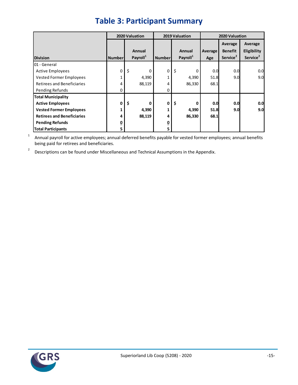|                                   | 2020 Valuation<br>2019 Valuation |                      |               |                      | 2020 Valuation |                      |                      |
|-----------------------------------|----------------------------------|----------------------|---------------|----------------------|----------------|----------------------|----------------------|
|                                   |                                  |                      |               |                      |                | Average              | Average              |
|                                   |                                  | <b>Annual</b>        |               | <b>Annual</b>        | Average        | <b>Benefit</b>       | Eligibility          |
| <b>Division</b>                   | <b>Number</b>                    | Payroll <sup>1</sup> | <b>Number</b> | Payroll <sup>1</sup> | Age            | Service <sup>2</sup> | Service <sup>2</sup> |
| 01 - General                      |                                  |                      |               |                      |                |                      |                      |
| <b>Active Employees</b>           | 0                                | \$<br>0              | 0             | \$<br>0              | 0.0            | 0.0                  | 0.0                  |
| Vested Former Employees           |                                  | 4,390                |               | 4,390                | 51.8           | 9.0                  | 9.0                  |
| <b>Retirees and Beneficiaries</b> | 4                                | 88,119               | 4             | 86,330               | 68.1           |                      |                      |
| Pending Refunds                   | 0                                |                      | 0             |                      |                |                      |                      |
| <b>Total Municipality</b>         |                                  |                      |               |                      |                |                      |                      |
| <b>Active Employees</b>           | 0                                | \$<br>0              | 0             | \$<br>0              | 0.0            | 0.0                  | 0.0                  |
| <b>Vested Former Employees</b>    |                                  | 4,390                |               | 4,390                | 51.8           | 9.0                  | 9.0                  |
| <b>Retirees and Beneficiaries</b> | 4                                | 88,119               | 4             | 86,330               | 68.1           |                      |                      |
| <b>Pending Refunds</b>            | 0                                |                      | 0             |                      |                |                      |                      |
| <b>Total Participants</b>         |                                  |                      | 5             |                      |                |                      |                      |

# **Table 3: Participant Summary**

1 Annual payroll for active employees; annual deferred benefits payable for vested former employees; annual benefits being paid for retirees and beneficiaries.

2 Descriptions can be found under Miscellaneous and Technical Assumptions in the Appendix.

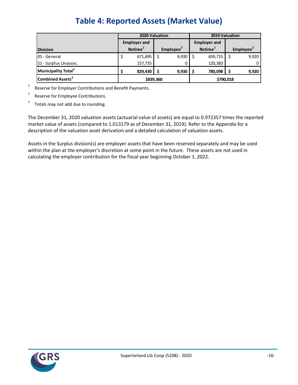|                                 |           | 2020 Valuation       |                                               |       |  | 2019 Valuation        |           |       |  |
|---------------------------------|-----------|----------------------|-----------------------------------------------|-------|--|-----------------------|-----------|-------|--|
|                                 |           | <b>Employer and</b>  |                                               |       |  | <b>Employer and</b>   |           |       |  |
| <b>Division</b>                 |           | Retiree <sup>1</sup> | Retiree <sup>1</sup><br>Employee <sup>2</sup> |       |  | Employee <sup>2</sup> |           |       |  |
| 01 - General                    |           | 671,695              |                                               | 9,930 |  | 659,715               |           | 9,920 |  |
| S1 - Surplus Unassoc.           |           | 157,735              |                                               |       |  | 120,383               |           |       |  |
| Municipality Total <sup>3</sup> |           | 829.430              |                                               | 9,930 |  | 780.098               |           | 9,920 |  |
| Combined Assets <sup>3</sup>    | \$839,360 |                      |                                               |       |  |                       | \$790,018 |       |  |

1 Reserve for Employer Contributions and Benefit Payments.

2 Reserve for Employee Contributions.

3 Totals may not add due to rounding.

The December 31, 2020 valuation assets (actuarial value of assets) are equal to 0.972357 times the reported market value of assets (compared to 1.013179 as of December 31, 2019). Refer to the Appendix for a description of the valuation asset derivation and a detailed calculation of valuation assets.

Assets in the Surplus division(s) are employer assets that have been reserved separately and may be used within the plan at the employer's discretion at some point in the future. These assets are not used in calculating the employer contribution for the fiscal year beginning October 1, 2022.

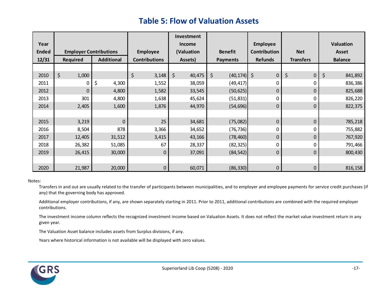# **Table 5: Flow of Valuation Assets**

|              |                 |                               |                      | Investment    |                      |                     |                  |                  |
|--------------|-----------------|-------------------------------|----------------------|---------------|----------------------|---------------------|------------------|------------------|
| Year         |                 |                               |                      | <b>Income</b> |                      | <b>Employee</b>     |                  | <b>Valuation</b> |
| <b>Ended</b> |                 | <b>Employer Contributions</b> | <b>Employee</b>      | (Valuation    | <b>Benefit</b>       | <b>Contribution</b> | <b>Net</b>       | <b>Asset</b>     |
| 12/31        | <b>Required</b> | <b>Additional</b>             | <b>Contributions</b> | Assets)       | <b>Payments</b>      | <b>Refunds</b>      | <b>Transfers</b> | <b>Balance</b>   |
|              |                 |                               |                      |               |                      |                     |                  |                  |
| 2010         | \$<br>1,000     |                               | \$<br>3,148          | \$<br>40,475  | \$<br>$(40, 174)$ \$ | $\mathbf 0$         | \$<br>$\pmb{0}$  | \$<br>841,892    |
| 2011         | 0               | \$<br>4,300                   | 1,552                | 38,059        | (49, 417)            | 0                   | 0                | 836,386          |
| 2012         | $\mathbf 0$     | 4,800                         | 1,582                | 33,545        | (50, 625)            | 0                   | $\boldsymbol{0}$ | 825,688          |
| 2013         | 301             | 4,800                         | 1,638                | 45,624        | (51, 831)            |                     | 0                | 826,220          |
| 2014         | 2,405           | 1,600                         | 1,876                | 44,970        | (54, 696)            | 0                   | 0                | 822,375          |
|              |                 |                               |                      |               |                      |                     |                  |                  |
| 2015         | 3,219           | $\mathbf 0$                   | 25                   | 34,681        | (75,082)             | 0                   | $\mathbf 0$      | 785,218          |
| 2016         | 8,504           | 878                           | 3,366                | 34,652        | (76, 736)            | 0                   | 0                | 755,882          |
| 2017         | 12,405          | 31,512                        | 3,415                | 43,166        | (78, 460)            | 0                   | 0                | 767,920          |
| 2018         | 26,382          | 51,085                        | 67                   | 28,337        | (82, 325)            | 0                   | 0                | 791,466          |
| 2019         | 26,415          | 30,000                        | $\mathbf 0$          | 37,091        | (84, 542)            | 0                   | 0                | 800,430          |
|              |                 |                               |                      |               |                      |                     |                  |                  |
| 2020         | 21,987          | 20,000                        | $\mathbf 0$          | 60,071        | (86, 330)            | 0                   | 0                | 816,158          |

#### Notes:

Transfers in and out are usually related to the transfer of participants between municipalities, and to employer and employee payments for service credit purchases (if any) that the governing body has approved.

Additional employer contributions, if any, are shown separately starting in 2011. Prior to 2011, additional contributions are combined with the required employer contributions.

The investment income column reflects the recognized investment income based on Valuation Assets. It does not reflect the market value investment return in any given year.

The Valuation Asset balance includes assets from Surplus divisions, if any.

Years where historical information is not available will be displayed with zero values.

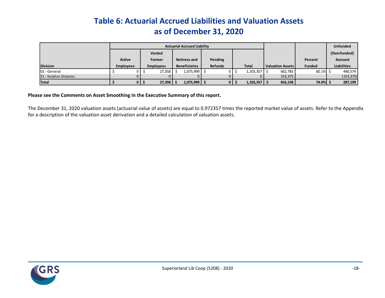# **Table 6: Actuarial Accrued Liabilities and Valuation Assets as of December 31, 2020**

|                       |                  | <b>Actuarial Accrued Liability</b> |                  |  |                      |  |                |                  |                         | <b>Unfunded</b> |                    |
|-----------------------|------------------|------------------------------------|------------------|--|----------------------|--|----------------|------------------|-------------------------|-----------------|--------------------|
|                       |                  |                                    | <b>Vested</b>    |  |                      |  |                |                  |                         |                 | (Overfunded)       |
|                       | <b>Active</b>    |                                    | Former           |  | <b>Retirees and</b>  |  | Pending        |                  |                         | Percent         | <b>Accrued</b>     |
| <b>Division</b>       | <b>Employees</b> |                                    | <b>Employees</b> |  | <b>Beneficiaries</b> |  | <b>Refunds</b> | <b>Total</b>     | <b>Valuation Assets</b> | <b>Funded</b>   | <b>Liabilities</b> |
| 01 - General          |                  | 0 I                                | 27,358           |  | 1,075,999 \$         |  |                | 1,103,357        | 662,783                 | 60.1%           | 440,574            |
| S1 - Surplus Unassoc. |                  |                                    |                  |  |                      |  |                |                  | 153,375                 |                 | (153, 375)         |
| <b>Total</b>          |                  | 0 I S                              | 27,358           |  | $1,075,999$ \$       |  |                | $1,103,357$   \$ | 816,158                 | 74.0% S         | 287,199            |

#### **Please see the Comments on Asset Smoothing in the Executive Summary of this report.**

The December 31, 2020 valuation assets (actuarial value of assets) are equal to 0.972357 times the reported market value of assets. Refer to the Appendix for a description of the valuation asset derivation and a detailed calculation of valuation assets.

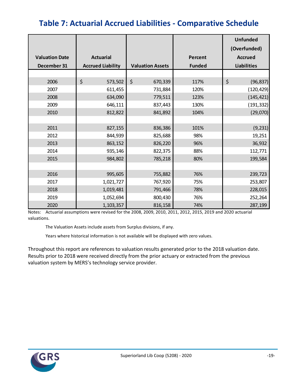# **Table 7: Actuarial Accrued Liabilities - Comparative Schedule**

|                       |                          |                         |                | <b>Unfunded</b><br>(Overfunded) |
|-----------------------|--------------------------|-------------------------|----------------|---------------------------------|
| <b>Valuation Date</b> | <b>Actuarial</b>         |                         | <b>Percent</b> | <b>Accrued</b>                  |
| December 31           | <b>Accrued Liability</b> | <b>Valuation Assets</b> | <b>Funded</b>  | <b>Liabilities</b>              |
|                       |                          |                         |                |                                 |
| 2006                  | \$<br>573,502            | $\zeta$<br>670,339      | 117%           | \$<br>(96, 837)                 |
| 2007                  | 611,455                  | 731,884                 | 120%           | (120, 429)                      |
| 2008                  | 634,090                  | 779,511                 | 123%           | (145, 421)                      |
| 2009                  | 646,111                  | 837,443                 | 130%           | (191, 332)                      |
| 2010                  | 812,822                  | 841,892                 | 104%           | (29,070)                        |
|                       |                          |                         |                |                                 |
| 2011                  | 827,155                  | 836,386                 | 101%           | (9, 231)                        |
| 2012                  | 844,939                  | 825,688                 | 98%            | 19,251                          |
| 2013                  | 863,152                  | 826,220                 | 96%            | 36,932                          |
| 2014                  | 935,146                  | 822,375                 | 88%            | 112,771                         |
| 2015                  | 984,802                  | 785,218                 | 80%            | 199,584                         |
|                       |                          |                         |                |                                 |
| 2016                  | 995,605                  | 755,882                 | 76%            | 239,723                         |
| 2017                  | 1,021,727                | 767,920                 | 75%            | 253,807                         |
| 2018                  | 1,019,481                | 791,466                 | 78%            | 228,015                         |
| 2019                  | 1,052,694                | 800,430                 | 76%            | 252,264                         |
| 2020                  | 1,103,357                | 816,158                 | 74%            | 287,199                         |

Notes: Actuarial assumptions were revised for the 2008, 2009, 2010, 2011, 2012, 2015, 2019 and 2020 actuarial valuations.

The Valuation Assets include assets from Surplus divisions, if any.

Years where historical information is not available will be displayed with zero values.

Throughout this report are references to valuation results generated prior to the 2018 valuation date. Results prior to 2018 were received directly from the prior actuary or extracted from the previous valuation system by MERS's technology service provider.

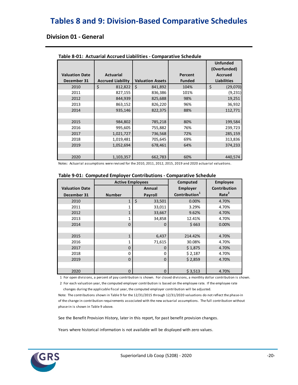# **Tables 8 and 9: Division-Based Comparative Schedules**

### **Division 01 - General**

|                       |                          |                         |               | <b>Unfunded</b><br>(Overfunded) |
|-----------------------|--------------------------|-------------------------|---------------|---------------------------------|
| <b>Valuation Date</b> | <b>Actuarial</b>         |                         | Percent       | <b>Accrued</b>                  |
| December 31           | <b>Accrued Liability</b> | <b>Valuation Assets</b> | <b>Funded</b> | <b>Liabilities</b>              |
| 2010                  | \$<br>812,822            | Ś.<br>841,892           | 104%          | \$<br>(29,070)                  |
| 2011                  | 827,155                  | 836,386                 | 101%          | (9, 231)                        |
| 2012                  | 844.939                  | 825,688                 | 98%           | 19,251                          |
| 2013                  | 863,152                  | 826,220                 | 96%           | 36,932                          |
| 2014                  | 935,146                  | 822,375                 | 88%           | 112,771                         |
|                       |                          |                         |               |                                 |
| 2015                  | 984,802                  | 785,218                 | 80%           | 199,584                         |
| 2016                  | 995,605                  | 755,882                 | 76%           | 239,723                         |
| 2017                  | 1,021,727                | 736,568                 | 72%           | 285,159                         |
| 2018                  | 1,019,481                | 705,645                 | 69%           | 313,836                         |
| 2019                  | 1,052,694                | 678,461                 | 64%           | 374,233                         |
|                       |                          |                         |               |                                 |
| 2020                  | 1,103,357                | 662,783                 | 60%           | 440,574                         |

#### **Table 8-01: Actuarial Accrued Liabilities - Comparative Schedule**

Notes: Actuarial assumptions were revised for the 2010, 2011, 2012, 2015, 2019 and 2020 actuarial valuations.

|  |  |  | Table 9-01: Computed Employer Contributions - Comparative Schedule |
|--|--|--|--------------------------------------------------------------------|
|--|--|--|--------------------------------------------------------------------|

|                       | <b>Active Employees</b> |                   | Computed                  | <b>Employee</b>     |
|-----------------------|-------------------------|-------------------|---------------------------|---------------------|
| <b>Valuation Date</b> |                         | Annual            | <b>Employer</b>           | <b>Contribution</b> |
| December 31           | <b>Number</b>           | <b>Payroll</b>    | Contribution <sup>1</sup> | Rate <sup>2</sup>   |
| 2010                  | $\mathbf{1}$            | $\zeta$<br>33,501 | 0.00%                     | 4.70%               |
| 2011                  | 1                       | 33,011            | 3.29%                     | 4.70%               |
| 2012                  | $\mathbf{1}$            | 33,667            | 9.62%                     | 4.70%               |
| 2013                  |                         | 34,858            | 12.41%                    | 4.70%               |
| 2014                  | $\Omega$                | 0                 | \$663                     | 0.00%               |
|                       |                         |                   |                           |                     |
| 2015                  | $\mathbf{1}$            | 6,437             | 214.42%                   | 4.70%               |
| 2016                  |                         | 71,615            | 30.08%                    | 4.70%               |
| 2017                  | 0                       | 0                 | \$1,875                   | 4.70%               |
| 2018                  | 0                       | 0                 | \$2,187                   | 4.70%               |
| 2019                  | $\Omega$                | 0                 | \$2,859                   | 4.70%               |
|                       |                         |                   |                           |                     |
| 2020                  | 0                       | 0                 | \$3,513                   | 4.70%               |

1 For open divisions, a percent of pay contribution is shown. For closed divisions, a monthly dollar contribution is shown.

 2 For each valuation year, the computed employer contribution is based on the employee rate. If the employee rate changes during the applicable fiscal year, the computed employer contribution will be adjusted.

Note: The contributions shown in Table 9 for the 12/31/2015 through 12/31/2020 valuations do not reflect the phase-in of the change in contribution requirements associated with the new actuarial assumptions. The full contribution without phase-in is shown in Table 9 above.

See the Benefit Provision History, later in this report, for past benefit provision changes.

Years where historical information is not available will be displayed with zero values.

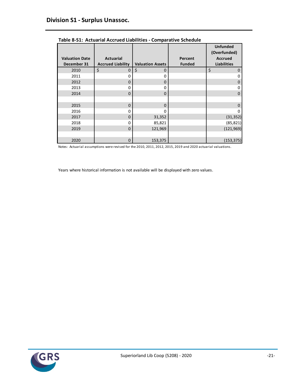|                       |                          |                         |               | <b>Unfunded</b><br>(Overfunded) |
|-----------------------|--------------------------|-------------------------|---------------|---------------------------------|
| <b>Valuation Date</b> | <b>Actuarial</b>         |                         | Percent       | <b>Accrued</b>                  |
| December 31           | <b>Accrued Liability</b> | <b>Valuation Assets</b> | <b>Funded</b> | <b>Liabilities</b>              |
| 2010                  | \$<br>$\mathbf 0$        | \$<br>$\Omega$          |               | \$<br>0                         |
| 2011                  | 0                        | $\Omega$                |               | 0                               |
| 2012                  | 0                        | $\Omega$                |               | 0                               |
| 2013                  | 0                        | O                       |               | 0                               |
| 2014                  | $\mathbf 0$              | $\Omega$                |               | $\Omega$                        |
|                       |                          |                         |               |                                 |
| 2015                  | $\Omega$                 | $\Omega$                |               | O                               |
| 2016                  | 0                        | ŋ                       |               |                                 |
| 2017                  | $\mathbf 0$              | 31,352                  |               | (31, 352)                       |
| 2018                  | 0                        | 85,821                  |               | (85, 821)                       |
| 2019                  | $\mathbf 0$              | 121,969                 |               | (121, 969)                      |
|                       |                          |                         |               |                                 |
| 2020                  | $\mathbf 0$              | 153,375                 |               | (153, 375)                      |

**Table 8-S1: Actuarial Accrued Liabilities - Comparative Schedule**

Notes: Actuarial assumptions were revised for the 2010, 2011, 2012, 2015, 2019 and 2020 actuarial valuations.

Years where historical information is not available will be displayed with zero values.

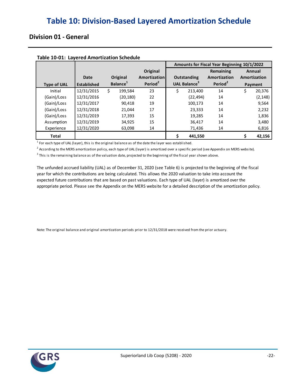### **Division 01 - General**

| Table 10-01. Eagered Annoi treation beneagie |                    |                      |                     | Amounts for Fiscal Year Beginning 10/1/2022 |                                 |                     |    |              |
|----------------------------------------------|--------------------|----------------------|---------------------|---------------------------------------------|---------------------------------|---------------------|----|--------------|
|                                              |                    |                      | Original            |                                             |                                 | Remaining           |    | Annual       |
|                                              | Date               | Original             | Amortization        |                                             | <b>Outstanding</b>              | Amortization        |    | Amortization |
| <b>Type of UAL</b>                           | <b>Established</b> | Balance <sup>1</sup> | Period <sup>2</sup> |                                             | <b>UAL Balance</b> <sup>5</sup> | Period <sup>2</sup> |    | Payment      |
| Initial                                      | 12/31/2015         | 199.584<br>S         | 23                  | Ś                                           | 213.400                         | 14                  | \$ | 20,376       |
| (Gain)/Loss                                  | 12/31/2016         | (20, 180)            | 22                  |                                             | (22, 494)                       | 14                  |    | (2, 148)     |
| (Gain)/Loss                                  | 12/31/2017         | 90,418               | 19                  |                                             | 100,173                         | 14                  |    | 9,564        |
| (Gain)/Loss                                  | 12/31/2018         | 21,044               | 17                  |                                             | 23,333                          | 14                  |    | 2,232        |
| (Gain)/Loss                                  | 12/31/2019         | 17,393               | 15                  |                                             | 19,285                          | 14                  |    | 1,836        |
| Assumption                                   | 12/31/2019         | 34,925               | 15                  |                                             | 36,417                          | 14                  |    | 3,480        |
| Experience                                   | 12/31/2020         | 63,098               | 14                  |                                             | 71,436                          | 14                  |    | 6,816        |
| <b>Total</b>                                 |                    |                      |                     |                                             | 441,550                         |                     |    | 42,156       |

#### **Table 10-01: Layered Amortization Schedule**

 $<sup>1</sup>$  For each type of UAL (layer), this is the original balance as of the date the layer was established.</sup>

<sup>2</sup> According to the MERS amortization policy, each type of UAL (layer) is amortized over a specific period (see Appendix on MERS website).

 $^3$  This is the remaining balance as of the valuation date, projected to the beginning of the fiscal year shown above.

The unfunded accrued liability (UAL) as of December 31, 2020 (see Table 6) is projected to the beginning of the fiscal appropriate period. Please see the Appendix on the MERS website for a detailed description of the amortization policy. year for which the contributions are being calculated. This allows the 2020 valuation to take into account the expected future contributions that are based on past valuations. Each type of UAL (layer) is amortized over the

Note: The original balance and original amortization periods prior to 12/31/2018 were received from the prior actuary.

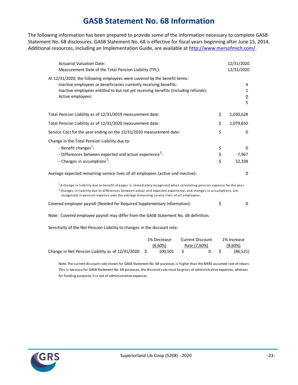## **GASB Statement No. 68 Information**

The following information has been prepared to provide some of the information necessary to complete GASB Statement No. 68 disclosures. GASB Statement No. 68 is effective for fiscal years beginning after June 15, 2014. Additional resources, including an Implementation Guide, are available at [http://www.mersofmich.com/.](http://www.mersofmich.com/)

| <b>Actuarial Valuation Date:</b><br>Measurement Date of the Total Pension Liability (TPL):                                                                                                                                                                                                                                                             |                | 12/31/2020<br>12/31/2020                  |
|--------------------------------------------------------------------------------------------------------------------------------------------------------------------------------------------------------------------------------------------------------------------------------------------------------------------------------------------------------|----------------|-------------------------------------------|
| At 12/31/2020, the following employees were covered by the benefit terms:<br>Inactive employees or beneficiaries currently receiving benefits:<br>Inactive employees entitled to but not yet receiving benefits (including refunds):<br>Active employees:                                                                                              |                | 4<br>$\mathbf{1}$<br>$\underline{0}$<br>5 |
| Total Pension Liability as of 12/31/2019 measurement date:                                                                                                                                                                                                                                                                                             | \$             | 1,030,628                                 |
| Total Pension Liability as of 12/31/2020 measurement date:                                                                                                                                                                                                                                                                                             | \$             | 1,079,650                                 |
| Service Cost for the year ending on the 12/31/2020 measurement date:                                                                                                                                                                                                                                                                                   | \$             | $\mathbf{0}$                              |
| Change in the Total Pension Liability due to:<br>- Benefit changes <sup>1</sup> :<br>- Differences between expected and actual experience <sup>2</sup> :<br>- Changes in assumptions <sup>2</sup> :                                                                                                                                                    | \$<br>\$<br>\$ | 0<br>7,967<br>52,338                      |
| Average expected remaining service lives of all employees (active and inactive):                                                                                                                                                                                                                                                                       |                | $\Omega$                                  |
| <sup>1</sup> A change in liability due to benefit changes is immediately recognized when calculating pension expense for the year.<br>$^2$ Changes in liability due to differences between actual and expected experience, and changes in assumptions, are<br>recognized in pension expense over the average remaining service lives of all employees. |                |                                           |
| Covered employee payroll (Needed for Required Supplementary Information):                                                                                                                                                                                                                                                                              | \$             | $\mathbf{0}$                              |
| Note: Covered employee payroll may differ from the GASB Statement No. 68 definition.                                                                                                                                                                                                                                                                   |                |                                           |
| Sensitivity of the Net Pension Liability to changes in the discount rate:                                                                                                                                                                                                                                                                              |                |                                           |

|                                                         | 1% Decrease | <b>Current Discount</b> | 1% Increase |
|---------------------------------------------------------|-------------|-------------------------|-------------|
|                                                         | $(6.60\%)$  | Rate (7.60%)            | $(8.60\%)$  |
| Change in Net Pension Liability as of $12/31/2020$ : \$ | 100.501     | 0 S                     | (86, 521)   |

Note: The current discount rate shown for GASB Statement No. 68 purposes is higher than the MERS assumed rate of return. This is because for GASB Statement No. 68 purposes, the discount rate must be gross of administrative expenses, whereas for funding purposes it is net of administrative expenses.

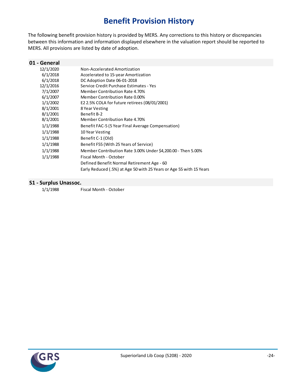# **Benefit Provision History**

The following benefit provision history is provided by MERS. Any corrections to this history or discrepancies between this information and information displayed elsewhere in the valuation report should be reported to MERS. All provisions are listed by date of adoption.

| 01 - General |                                                                     |
|--------------|---------------------------------------------------------------------|
| 12/1/2020    | Non-Accelerated Amortization                                        |
| 6/1/2018     | Accelerated to 15-year Amortization                                 |
| 6/1/2018     | DC Adoption Date 06-01-2018                                         |
| 12/1/2016    | Service Credit Purchase Estimates - Yes                             |
| 7/1/2007     | <b>Member Contribution Rate 4.70%</b>                               |
| 6/1/2007     | Member Contribution Rate 0.00%                                      |
| 1/1/2002     | E2 2.5% COLA for future retirees (08/01/2001)                       |
| 8/1/2001     | 8 Year Vesting                                                      |
| 8/1/2001     | Benefit B-2                                                         |
| 8/1/2001     | Member Contribution Rate 4.70%                                      |
| 1/1/1988     | Benefit FAC-5 (5 Year Final Average Compensation)                   |
| 1/1/1988     | 10 Year Vesting                                                     |
| 1/1/1988     | Benefit C-1 (Old)                                                   |
| 1/1/1988     | Benefit F55 (With 25 Years of Service)                              |
| 1/1/1988     | Member Contribution Rate 3.00% Under \$4,200.00 - Then 5.00%        |
| 1/1/1988     | Fiscal Month - October                                              |
|              | Defined Benefit Normal Retirement Age - 60                          |
|              | Early Reduced (.5%) at Age 50 with 25 Years or Age 55 with 15 Years |

### **S1 - Surplus Unassoc.**

1/1/1988 Fiscal Month - October

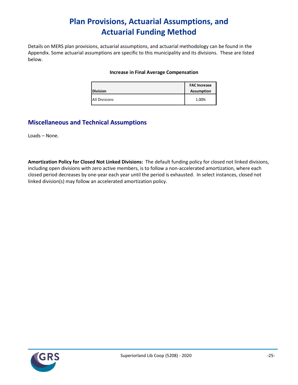# **Plan Provisions, Actuarial Assumptions, and Actuarial Funding Method**

Details on MERS plan provisions, actuarial assumptions, and actuarial methodology can be found in the Appendix. Some actuarial assumptions are specific to this municipality and its divisions. These are listed below.

#### **Increase in Final Average Compensation**

| <b>Division</b>      | <b>FAC Increase</b><br><b>Assumption</b> |
|----------------------|------------------------------------------|
| <b>All Divisions</b> | 1.00%                                    |

### **Miscellaneous and Technical Assumptions**

Loads – None.

**Amortization Policy for Closed Not Linked Divisions:** The default funding policy for closed not linked divisions, including open divisions with zero active members, is to follow a non-accelerated amortization, where each closed period decreases by one-year each year until the period is exhausted. In select instances, closed not linked division(s) may follow an accelerated amortization policy.

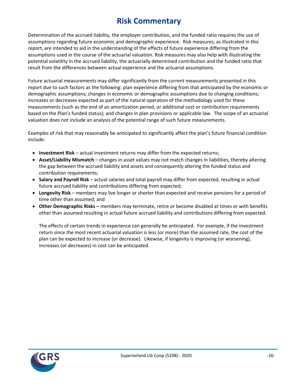# **Risk Commentary**

Determination of the accrued liability, the employer contribution, and the funded ratio requires the use of assumptions regarding future economic and demographic experience. Risk measures, as illustrated in this report, are intended to aid in the understanding of the effects of future experience differing from the assumptions used in the course of the actuarial valuation. Risk measures may also help with illustrating the potential volatility in the accrued liability, the actuarially determined contribution and the funded ratio that result from the differences between actual experience and the actuarial assumptions.

Future actuarial measurements may differ significantly from the current measurements presented in this report due to such factors as the following: plan experience differing from that anticipated by the economic or demographic assumptions; changes in economic or demographic assumptions due to changing conditions; increases or decreases expected as part of the natural operation of the methodology used for these measurements (such as the end of an amortization period, or additional cost or contribution requirements based on the Plan's funded status); and changes in plan provisions or applicable law. The scope of an actuarial valuation does not include an analysis of the potential range of such future measurements.

Examples of risk that may reasonably be anticipated to significantly affect the plan's future financial condition include:

- **Investment Risk** actual investment returns may differ from the expected returns;
- **Asset/Liability Mismatch** changes in asset values may not match changes in liabilities, thereby altering the gap between the accrued liability and assets and consequently altering the funded status and contribution requirements;
- **Salary and Payroll Risk** actual salaries and total payroll may differ from expected, resulting in actual future accrued liability and contributions differing from expected;
- **Longevity Risk** members may live longer or shorter than expected and receive pensions for a period of time other than assumed; and
- **Other Demographic Risks –** members may terminate, retire or become disabled at times or with benefits other than assumed resulting in actual future accrued liability and contributions differing from expected.

The effects of certain trends in experience can generally be anticipated. For example, if the investment return since the most recent actuarial valuation is less (or more) than the assumed rate, the cost of the plan can be expected to increase (or decrease). Likewise, if longevity is improving (or worsening), increases (or decreases) in cost can be anticipated.

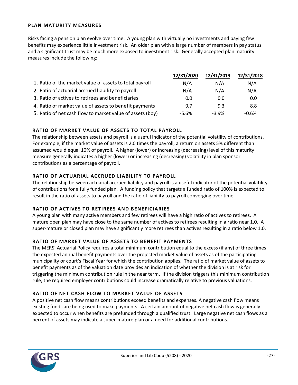#### **PLAN MATURITY MEASURES**

Risks facing a pension plan evolve over time. A young plan with virtually no investments and paying few benefits may experience little investment risk. An older plan with a large number of members in pay status and a significant trust may be much more exposed to investment risk. Generally accepted plan maturity measures include the following:

|                                                           | 12/31/2020 | 12/31/2019 | 12/31/2018 |
|-----------------------------------------------------------|------------|------------|------------|
| 1. Ratio of the market value of assets to total payroll   | N/A        | N/A        | N/A        |
| 2. Ratio of actuarial accrued liability to payroll        | N/A        | N/A        | N/A        |
| 3. Ratio of actives to retirees and beneficiaries         | 0.0        | 0.0        | 0.0        |
| 4. Ratio of market value of assets to benefit payments    | 9.7        | 9.3        | 8.8        |
| 5. Ratio of net cash flow to market value of assets (boy) | -5.6%      | $-3.9%$    | $-0.6%$    |

#### **RATIO OF MARKET VALUE OF ASSETS TO TOTAL PAYROLL**

The relationship between assets and payroll is a useful indicator of the potential volatility of contributions. For example, if the market value of assets is 2.0 times the payroll, a return on assets 5% different than assumed would equal 10% of payroll. A higher (lower) or increasing (decreasing) level of this maturity measure generally indicates a higher (lower) or increasing (decreasing) volatility in plan sponsor contributions as a percentage of payroll.

#### **RATIO OF ACTUARIAL ACCRUED LIABILITY TO PAYROLL**

The relationship between actuarial accrued liability and payroll is a useful indicator of the potential volatility of contributions for a fully funded plan. A funding policy that targets a funded ratio of 100% is expected to result in the ratio of assets to payroll and the ratio of liability to payroll converging over time.

#### **RATIO OF ACTIVES TO RETIREES AND BENEFICIARIES**

A young plan with many active members and few retirees will have a high ratio of actives to retirees. A mature open plan may have close to the same number of actives to retirees resulting in a ratio near 1.0. A super-mature or closed plan may have significantly more retirees than actives resulting in a ratio below 1.0.

#### **RATIO OF MARKET VALUE OF ASSETS TO BENEFIT PAYMENTS**

The MERS' Actuarial Policy requires a total minimum contribution equal to the excess (if any) of three times the expected annual benefit payments over the projected market value of assets as of the participating municipality or court's Fiscal Year for which the contribution applies. The ratio of market value of assets to benefit payments as of the valuation date provides an indication of whether the division is at risk for triggering the minimum contribution rule in the near term. If the division triggers this minimum contribution rule, the required employer contributions could increase dramatically relative to previous valuations.

### **RATIO OF NET CASH FLOW TO MARKET VALUE OF ASSETS**

A positive net cash flow means contributions exceed benefits and expenses. A negative cash flow means existing funds are being used to make payments. A certain amount of negative net cash flow is generally expected to occur when benefits are prefunded through a qualified trust. Large negative net cash flows as a percent of assets may indicate a super-mature plan or a need for additional contributions.